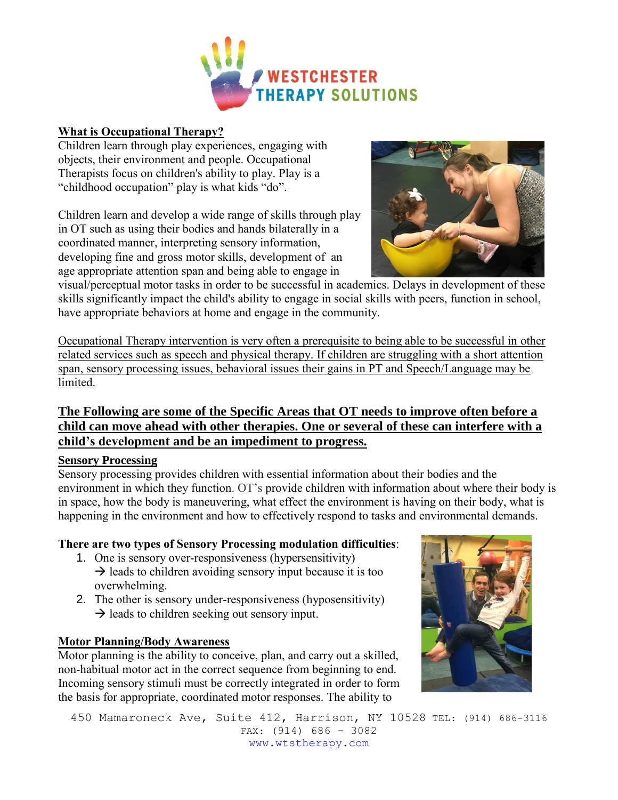

#### **What is Occupational Therapy?**

Children learn through play experiences, engaging with objects, their environment and people. Occupational Therapists focus on children's ability to play. Play is a "childhood occupation" play is what kids "do".

Children learn and develop a wide range of skills through play in OT such as using their bodies and hands bilaterally in a coordinated manner, interpreting sensory information, developing fine and gross motor skills, development of an age appropriate attention span and being able to engage in



visual/perceptual motor tasks in order to be successful in academics. Delays in development of these skills significantly impact the child's ability to engage in social skills with peers, function in school, have appropriate behaviors at home and engage in the community.

Occupational Therapy intervention is very often a prerequisite to being able to be successful in other related services such as speech and physical therapy. If children are struggling with a short attention span, sensory processing issues, behavioral issues their gains in PT and Speech/Language may be limited.

# **The Following are some of the Specific Areas that OT needs to improve often before a child can move ahead with other therapies. One or several of these can interfere with a child's development and be an impediment to progress.**

## **Sensory Processing**

Sensory processing provides children with essential information about their bodies and the environment in which they function. OT's provide children with information about where their body is in space, how the body is maneuvering, what effect the environment is having on their body, what is happening in the environment and how to effectively respond to tasks and environmental demands.

## **There are two types of Sensory Processing modulation difficulties**:

- 1. One is sensory over-responsiveness (hypersensitivity)  $\rightarrow$  leads to children avoiding sensory input because it is too overwhelming.
- 2. The other is sensory under-responsiveness (hyposensitivity)  $\rightarrow$  leads to children seeking out sensory input.

## **Motor Planning/Body Awareness**

Motor planning is the ability to conceive, plan, and carry out a skilled, non-habitual motor act in the correct sequence from beginning to end. Incoming sensory stimuli must be correctly integrated in order to form the basis for appropriate, coordinated motor responses. The ability to



450 Mamaroneck Ave, Suite 412, Harrison, NY 10528 TEL: (914) 686-3116 FAX: (914) 686 – 3082 www.wtstherapy.com